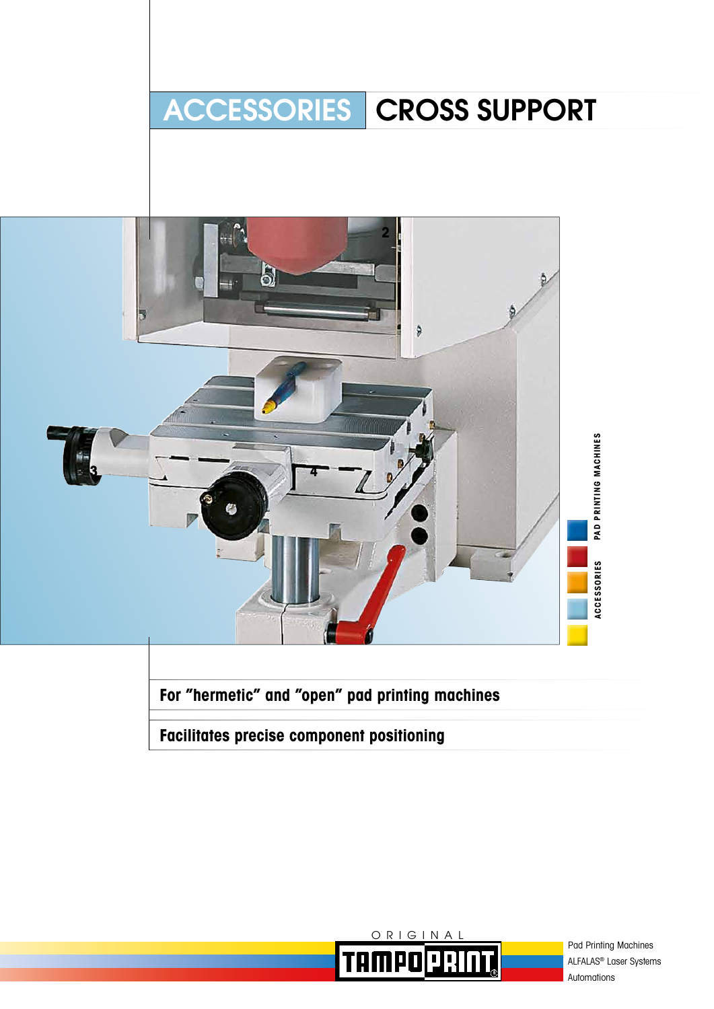# ACCESSORIES | CROSS SUPPORT



**For "hermetic" and "open" pad printing machines**

**Facilitates precise component positioning**



Pad Printing Machines ALFALAS® Laser Systems Automations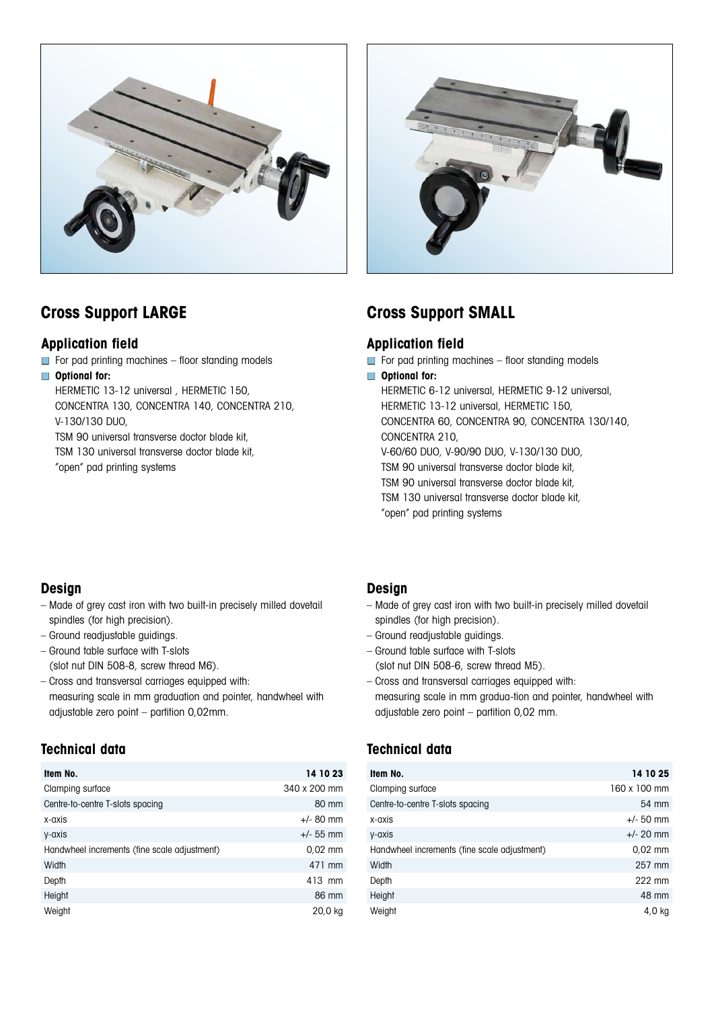



### **Application field**

- For pad printing machines floor standing models
- **Optional for:**

HERMETIC 13-12 universal , HERMETIC 150,

CONCENTRA 130, CONCENTRA 140, CONCENTRA 210, V-130/130 DUO,

TSM 90 universal transverse doctor blade kit,

TSM 130 universal transverse doctor blade kit,

"open" pad printing systems

# **Cross Support LARGE Cross Support SMALL**

### **Application field**

- $\Box$  For pad printing machines floor standing models
- **Optional for:**

HERMETIC 6-12 universal, HERMETIC 9-12 universal, HERMETIC 13-12 universal, HERMETIC 150, CONCENTRA 60, CONCENTRA 90, CONCENTRA 130/140, CONCENTRA 210, V-60/60 DUO, V-90/90 DUO, V-130/130 DUO, TSM 90 universal transverse doctor blade kit, TSM 90 universal transverse doctor blade kit, TSM 130 universal transverse doctor blade kit, "open" pad printing systems

### **Design**

- Made of grey cast iron with two built-in precisely milled dovetail spindles (for high precision).
- Ground readjustable guidings.
- Ground table surface with T-slots (slot nut DIN 508-8, screw thread M6).
- Cross and transversal carriages equipped with: measuring scale in mm graduation and pointer, handwheel with adjustable zero point – partition 0,02mm.

# **Technical data**

| Item No.                                     | 14 10 23     |
|----------------------------------------------|--------------|
| Clamping surface                             | 340 x 200 mm |
| Centre-to-centre T-slots spacing             | 80 mm        |
| x-axis                                       | $+/-$ 80 mm  |
| y-axis                                       | $+/- 55$ mm  |
| Handwheel increments (fine scale adjustment) | $0.02$ mm    |
| Width                                        | 471 mm       |
| Depth                                        | 413 mm       |
| Height                                       | 86 mm        |
| Weight                                       | 20,0 kg      |

## **Design**

- Made of grey cast iron with two built-in precisely milled dovetail spindles (for high precision).
- Ground readjustable guidings.
- Ground table surface with T-slots (slot nut DIN 508-6, screw thread M5).
- Cross and transversal carriages equipped with: measuring scale in mm gradua-tion and pointer, handwheel with adjustable zero point – partition 0,02 mm.

# **Technical data**

| Item No.                                     | 14 10 25     |
|----------------------------------------------|--------------|
| Clamping surface                             | 160 x 100 mm |
| Centre-to-centre T-slots spacing             | 54 mm        |
| x-axis                                       | $+/- 50$ mm  |
| y-axis                                       | $+/- 20$ mm  |
| Handwheel increments (fine scale adjustment) | $0.02$ mm    |
| Width                                        | 257 mm       |
| Depth                                        | 222 mm       |
| Height                                       | 48 mm        |
| Weight                                       | 4,0 kg       |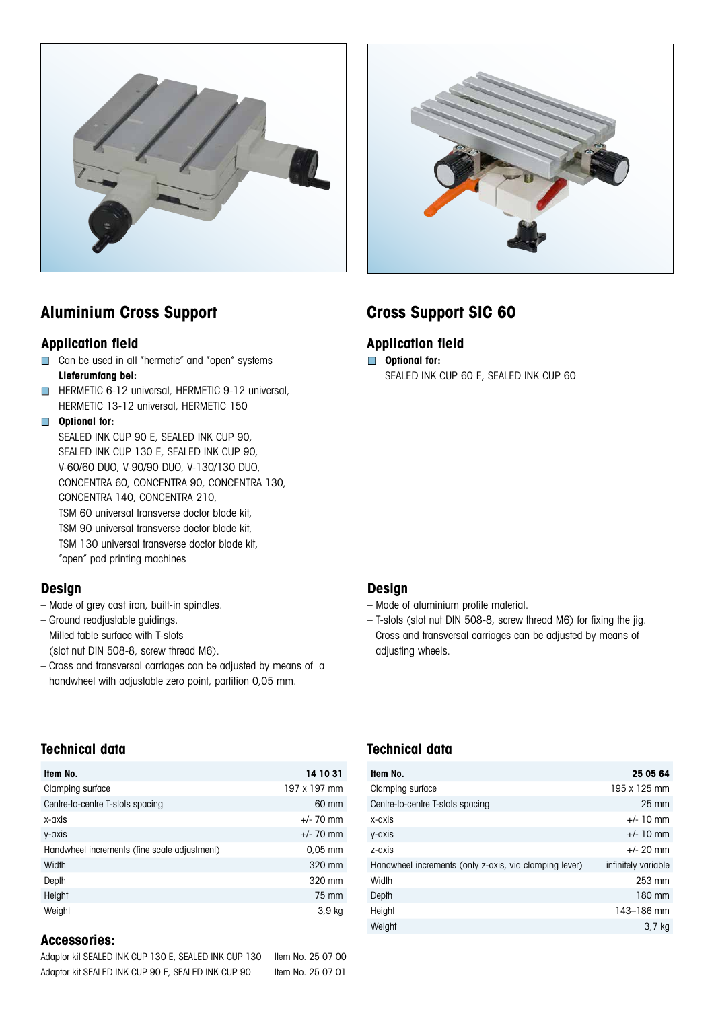



# **Aluminium Cross Support Cross Support SIC 60**

#### **Application field Application field**

- Can be used in all "hermetic" and "open" systems **Lieferumfang bei:**
- HERMETIC 6-12 universal, HERMETIC 9-12 universal, HERMETIC 13-12 universal, HERMETIC 150

#### ■ **Optional for:**

SEALED INK CUP 90 E, SEALED INK CUP 90, SEALED INK CUP 130 E, SEALED INK CUP 90, V-60/60 DUO, V-90/90 DUO, V-130/130 DUO, CONCENTRA 60, CONCENTRA 90, CONCENTRA 130, CONCENTRA 140, CONCENTRA 210, TSM 60 universal transverse doctor blade kit, TSM 90 universal transverse doctor blade kit, TSM 130 universal transverse doctor blade kit, "open" pad printing machines

#### **Design**

- Made of grey cast iron, built-in spindles.
- Ground readjustable guidings.
- Milled table surface with T-slots
- (slot nut DIN 508-8, screw thread M6).
- Cross and transversal carriages can be adjusted by means of a handwheel with adjustable zero point, partition 0,05 mm.

## **Technical data Technical data**

| Item No.                                     | 14 10 31     |
|----------------------------------------------|--------------|
| Clamping surface                             | 197 x 197 mm |
| Centre-to-centre T-slots spacing             | 60 mm        |
| x-axis                                       | $+/- 70$ mm  |
| y-axis                                       | $+/- 70$ mm  |
| Handwheel increments (fine scale adjustment) | $0.05$ mm    |
| Width                                        | 320 mm       |
| Depth                                        | 320 mm       |
| Height                                       | 75 mm        |
| Weight                                       | 3,9 kg       |

#### **Accessories:**

| Adaptor kit SEALED INK CUP 130 E, SEALED INK CUP 130 | Item No. 25 07 00 |
|------------------------------------------------------|-------------------|
| Adaptor kit SEALED INK CUP 90 E, SEALED INK CUP 90   | Item No. 25 07 01 |

- **Optional for:** 
	- SEALED INK CUP 60 E, SEALED INK CUP 60

#### **Design**

- Made of aluminium profile material.
- T-slots (slot nut DIN 508-8, screw thread M6) for fixing the jig.
- Cross and transversal carriages can be adjusted by means of adjusting wheels.

| Item No.                                               | 25 05 64            |
|--------------------------------------------------------|---------------------|
| Clamping surface                                       | 195 x 125 mm        |
| Centre-to-centre T-slots spacing                       | $25 \text{ mm}$     |
| x-axis                                                 | $+/- 10$ mm         |
| y-axis                                                 | $+/- 10$ mm         |
| z-axis                                                 | $+/- 20$ mm         |
| Handwheel increments (only z-axis, via clamping lever) | infinitely variable |
| Width                                                  | 253 mm              |
| Depth                                                  | 180 mm              |
| Height                                                 | 143-186 mm          |
| Weight                                                 | 3,7 kg              |